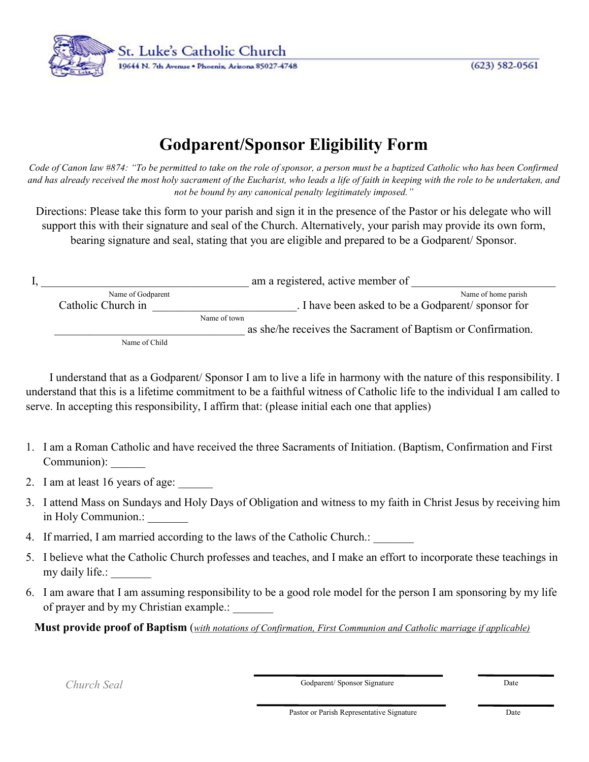St. Luke's Catholic Church 19644 N. 7th Avenue . Phoenix, Arizona 85027-4748

 $(623) 582 - 0561$ 

## **Godparent/Sponsor Eligibility Form**

*Code of Canon law #874: "To be permitted to take on the role of sponsor, a person must be a baptized Catholic who has been Confirmed and has already received the most holy sacrament of the Eucharist, who leads a life of faith in keeping with the role to be undertaken, and not be bound by any canonical penalty legitimately imposed."*

Directions: Please take this form to your parish and sign it in the presence of the Pastor or his delegate who will support this with their signature and seal of the Church. Alternatively, your parish may provide its own form, bearing signature and seal, stating that you are eligible and prepared to be a Godparent/ Sponsor.

|                    | am a registered, active member of                            |
|--------------------|--------------------------------------------------------------|
| Name of Godparent  | Name of home parish                                          |
| Catholic Church in | . I have been asked to be a Godparent/ sponsor for           |
|                    | Name of town                                                 |
|                    | as she/he receives the Sacrament of Baptism or Confirmation. |
| Name of Child      |                                                              |

 I understand that as a Godparent/ Sponsor I am to live a life in harmony with the nature of this responsibility. I understand that this is a lifetime commitment to be a faithful witness of Catholic life to the individual I am called to serve. In accepting this responsibility, I affirm that: (please initial each one that applies)

- 1. I am a Roman Catholic and have received the three Sacraments of Initiation. (Baptism, Confirmation and First Communion): \_\_\_\_\_\_
- 2. I am at least 16 years of age:
- 3. I attend Mass on Sundays and Holy Days of Obligation and witness to my faith in Christ Jesus by receiving him in Holy Communion.:
- 4. If married, I am married according to the laws of the Catholic Church.:
- 5. I believe what the Catholic Church professes and teaches, and I make an effort to incorporate these teachings in my daily life.:
- 6. I am aware that I am assuming responsibility to be a good role model for the person I am sponsoring by my life of prayer and by my Christian example.: \_\_\_\_\_\_\_

**Must provide proof of Baptism** (*with notations of Confirmation, First Communion and Catholic marriage if applicable)*

*Church Seal* Date **Church Seal** Date